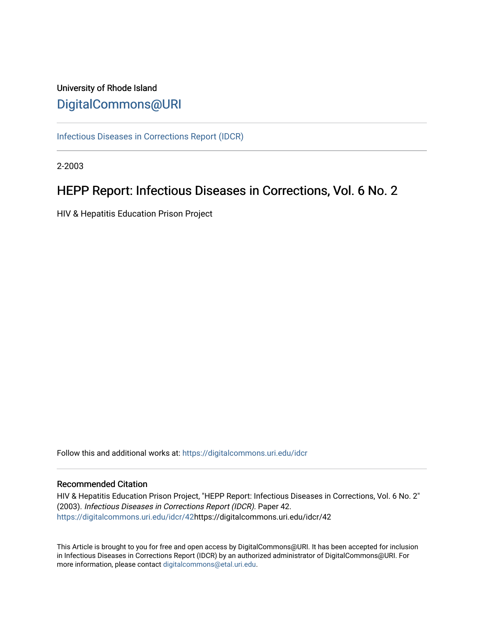## University of Rhode Island [DigitalCommons@URI](https://digitalcommons.uri.edu/)

[Infectious Diseases in Corrections Report \(IDCR\)](https://digitalcommons.uri.edu/idcr)

2-2003

# HEPP Report: Infectious Diseases in Corrections, Vol. 6 No. 2

HIV & Hepatitis Education Prison Project

Follow this and additional works at: [https://digitalcommons.uri.edu/idcr](https://digitalcommons.uri.edu/idcr?utm_source=digitalcommons.uri.edu%2Fidcr%2F42&utm_medium=PDF&utm_campaign=PDFCoverPages)

### Recommended Citation

HIV & Hepatitis Education Prison Project, "HEPP Report: Infectious Diseases in Corrections, Vol. 6 No. 2" (2003). Infectious Diseases in Corrections Report (IDCR). Paper 42. [https://digitalcommons.uri.edu/idcr/42h](https://digitalcommons.uri.edu/idcr/42?utm_source=digitalcommons.uri.edu%2Fidcr%2F42&utm_medium=PDF&utm_campaign=PDFCoverPages)ttps://digitalcommons.uri.edu/idcr/42

This Article is brought to you for free and open access by DigitalCommons@URI. It has been accepted for inclusion in Infectious Diseases in Corrections Report (IDCR) by an authorized administrator of DigitalCommons@URI. For more information, please contact [digitalcommons@etal.uri.edu.](mailto:digitalcommons@etal.uri.edu)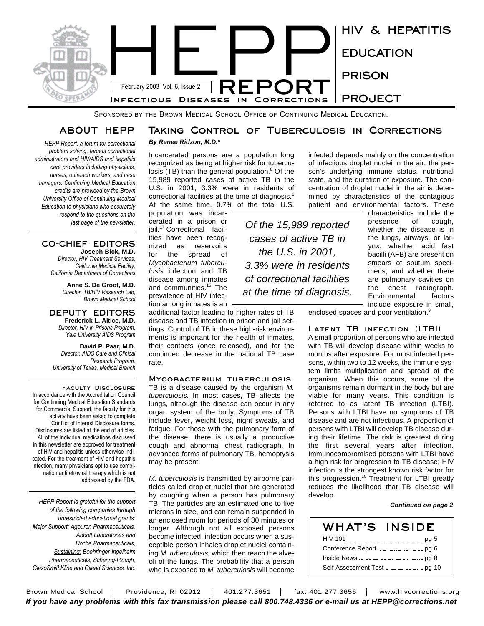

SPONSORED BY THE BROWN MEDICAL SCHOOL OFFICE OF CONTINUING MEDICAL EDUCATION.

### **ABOUT HEPP**

*HEPP Report, a forum for correctional problem solving, targets correctional administrators and HIV/AIDS and hepatitis care providers including physicians, nurses, outreach workers, and case managers. Continuing Medical Education credits are provided by the Brown University Office of Continuing Medical Education to physicians who accurately respond to the questions on the last page of the newsletter.* 

#### **CO-CHIEF EDITORS Joseph Bick, M.D.**

*Director, HIV Treatment Services, California Medical Facility, California Department of Corrections*

> **Anne S. De Groot, M.D.** *Director, TB/HIV Research Lab, Brown Medical School*

**DEPUTY EDITORS Frederick L. Altice, M.D.** *Director, HIV in Prisons Program, Yale University AIDS Program*

**David P. Paar, M.D.** *Director, AIDS Care and Clinical Research Program, University of Texas, Medical Branch*

**Faculty Disclosure** In accordance with the Accreditation Council for Continuing Medical Education Standards for Commercial Support, the faculty for this activity have been asked to complete Conflict of Interest Disclosure forms. Disclosures are listed at the end of articles. All of the individual medications discussed in this newsletter are approved for treatment of HIV and hepatitis unless otherwise indicated. For the treatment of HIV and hepatitis infection, many physicians opt to use combination antiretroviral therapy which is not addressed by the FDA.

*HEPP Report is grateful for the support of the following companies through unrestricted educational grants: Major Support: Agouron Pharmaceuticals, Abbott Laboratories and Roche Pharmaceuticals, Sustaining: Boehringer Ingelheim Pharmaceuticals, Schering-Plough, GlaxoSmithKline and Gilead Sciences, Inc.*

# **Taking Control of Tuberculosis in Corrections**

*the U.S. in 2001, 3.3% were in residents of correctional facilities at the time of diagnosis.*

*By Renee Ridzon, M.D.\**

Incarcerated persons are a population long recognized as being at higher risk for tuberculosis (TB) than the general population.<sup>8</sup> Of the 15,989 reported cases of active TB in the U.S. in 2001, 3.3% were in residents of correctional facilities at the time of diagnosis. $^6$ At the same time, 0.7% of the total U.S.

population was incarcerated in a prison or jail.<sup>17</sup> Correctional facilities have been recognized as reservoirs for the spread of *Mycobacterium tuberculosis* infection and TB disease among inmates and communities.<sup>15</sup> The prevalence of HIV infection among inmates is an

additional factor leading to higher rates of TB disease and TB infection in prison and jail settings. Control of TB in these high-risk environments is important for the health of inmates, their contacts (once released), and for the continued decrease in the national TB case rate.

#### **Mycobacterium tuberculosis**

TB is a disease caused by the organism *M. tuberculosis*. In most cases, TB affects the lungs, although the disease can occur in any organ system of the body. Symptoms of TB include fever, weight loss, night sweats, and fatigue. For those with the pulmonary form of the disease, there is usually a productive cough and abnormal chest radiograph. In advanced forms of pulmonary TB, hemoptysis may be present.

*M. tuberculosis* is transmitted by airborne particles called droplet nuclei that are generated by coughing when a person has pulmonary TB. The particles are an estimated one to five microns in size, and can remain suspended in an enclosed room for periods of 30 minutes or longer. Although not all exposed persons become infected, infection occurs when a susceptible person inhales droplet nuclei containing *M. tuberculosis,* which then reach the alveoli of the lungs. The probability that a person who is exposed to *M. tuberculosis* will become

state, and the duration of exposure. The concentration of droplet nuclei in the air is determined by characteristics of the contagious patient and environmental factors. These characteristics include the presence of cough, *Of the 15,989 reported cases of active TB in*

infected depends mainly on the concentration of infectious droplet nuclei in the air, the person's underlying immune status, nutritional

> whether the disease is in the lungs, airways, or larynx, whether acid fast bacilli (AFB) are present on smears of sputum specimens, and whether there are pulmonary cavities on the chest radiograph. Environmental factors include exposure in small,

enclosed spaces and poor ventilation.<sup>9</sup>

#### **Latent TB infection (LTBI)**

A small proportion of persons who are infected with TB will develop disease within weeks to months after exposure. For most infected persons, within two to 12 weeks, the immune system limits multiplication and spread of the organism. When this occurs, some of the organisms remain dormant in the body but are viable for many years. This condition is referred to as latent TB infection (LTBI). Persons with LTBI have no symptoms of TB disease and are not infectious. A proportion of persons with LTBI will develop TB disease during their lifetime. The risk is greatest during the first several years after infection. Immunocompromised persons with LTBI have a high risk for progression to TB disease; HIV infection is the strongest known risk factor for this progression.<sup>10</sup> Treatment for LTBI greatly reduces the likelihood that TB disease will develop.

#### *Continued on page 2*

| WHAT'S INSIDE |  |
|---------------|--|
|               |  |
|               |  |
|               |  |
|               |  |

Brown Medical School | Providence, RI 02912 | 401.277.3651 | fax: 401.277.3656 | www.hivcorrections.org *If you have any problems with this fax transmission please call 800.748.4336 or e-mail us at HEPP@corrections.net*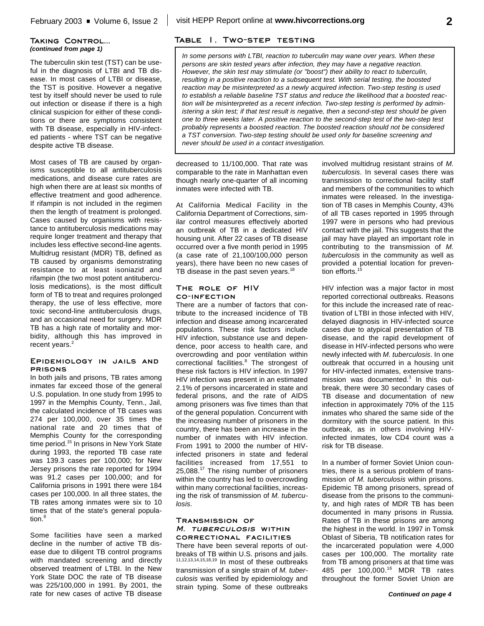#### **Taking Control...** *(continued from page 1)*

The tuberculin skin test (TST) can be useful in the diagnosis of LTBI and TB disease. In most cases of LTBI or disease, the TST is positive. However a negative test by itself should never be used to rule out infection or disease if there is a high clinical suspicion for either of these conditions or there are symptoms consistent with TB disease, especially in HIV-infected patients - where TST can be negative despite active TB disease.

Most cases of TB are caused by organisms susceptible to all antituberculosis medications, and disease cure rates are high when there are at least six months of effective treatment and good adherence. If rifampin is not included in the regimen then the length of treatment is prolonged. Cases caused by organisms with resistance to antituberculosis medications may require longer treatment and therapy that includes less effective second-line agents. Multidrug resistant (MDR) TB, defined as TB caused by organisms demonstrating resistance to at least isoniazid and rifampin (the two most potent antituberculosis medications), is the most difficult form of TB to treat and requires prolonged therapy, the use of less effective, more toxic second-line antituberculosis drugs, and an occasional need for surgery. MDR TB has a high rate of mortality and morbidity, although this has improved in recent years.<sup>2</sup>

#### **Epidemiology in jails and prisons**

In both jails and prisons, TB rates among inmates far exceed those of the general U.S. population. In one study from 1995 to 1997 in the Memphis County, Tenn., Jail, the calculated incidence of TB cases was 274 per 100,000, over 35 times the national rate and 20 times that of Memphis County for the corresponding time period.<sup>15</sup> In prisons in New York State during 1993, the reported TB case rate was 139.3 cases per 100,000; for New Jersey prisons the rate reported for 1994 was 91.2 cases per 100,000; and for California prisons in 1991 there were 184 cases per 100,000. In all three states, the TB rates among inmates were six to 10 times that of the state's general population. 8

Some facilities have seen a marked decline in the number of active TB disease due to diligent TB control programs with mandated screening and directly observed treatment of LTBI. In the New York State DOC the rate of TB disease was 225/100,000 in 1991. By 2001, the rate for new cases of active TB disease

### **Table 1. Two-step testing**

*In some persons with LTBI, reaction to tuberculin may wane over years. When these persons are skin tested years after infection, they may have a negative reaction. However, the skin test may stimulate (or "boost") their ability to react to tuberculin, resulting in a positive reaction to a subsequent test. With serial testing, the boosted reaction may be misinterpreted as a newly acquired infection. Two-step testing is used to establish a reliable baseline TST status and reduce the likelihood that a boosted reaction will be misinterpreted as a recent infection. Two-step testing is performed by administering a skin test; if that test result is negative, then a second-step test should be given one to three weeks later. A positive reaction to the second-step test of the two-step test probably represents a boosted reaction. The boosted reaction should not be considered a TST conversion. Two-step testing should be used only for baseline screening and never should be used in a contact investigation.*

decreased to 11/100,000. That rate was comparable to the rate in Manhattan even though nearly one-quarter of all incoming inmates were infected with TB.

At California Medical Facility in the California Department of Corrections, similar control measures effectively aborted an outbreak of TB in a dedicated HIV housing unit. After 22 cases of TB disease occurred over a five month period in 1995 (a case rate of 21,100/100,000 person years), there have been no new cases of TB disease in the past seven years.<sup>18</sup>

#### **The role of HIV co-infection**

There are a number of factors that contribute to the increased incidence of TB infection and disease among incarcerated populations. These risk factors include HIV infection, substance use and dependence, poor access to health care, and overcrowding and poor ventilation within correctional facilities. <sup>8</sup> The strongest of these risk factors is HIV infection. In 1997 HIV infection was present in an estimated 2.1% of persons incarcerated in state and federal prisons, and the rate of AIDS among prisoners was five times than that of the general population. Concurrent with the increasing number of prisoners in the country, there has been an increase in the number of inmates with HIV infection. From 1991 to 2000 the number of HIVinfected prisoners in state and federal facilities increased from 17,551 to 25,088.<sup>17</sup> The rising number of prisoners within the country has led to overcrowding within many correctional facilities, increasing the risk of transmission of *M. tuberculosis*.

#### **Transmission of** *M. tuberculosis* **within correctional facilities**

There have been several reports of outbreaks of TB within U.S. prisons and jails. 11,12,13,14,15,18,19 In most of these outbreaks transmission of a single strain of *M. tuberculosis* was verified by epidemiology and strain typing. Some of these outbreaks

involved multidrug resistant strains of *M. tuberculosis*. In several cases there was transmission to correctional facility staff and members of the communities to which inmates were released. In the investigation of TB cases in Memphis County, 43% of all TB cases reported in 1995 through 1997 were in persons who had previous contact with the jail. This suggests that the jail may have played an important role in contributing to the transmission of *M. tuberculosis* in the community as well as provided a potential location for prevention efforts. 15

HIV infection was a major factor in most reported correctional outbreaks. Reasons for this include the increased rate of reactivation of LTBI in those infected with HIV, delayed diagnosis in HIV-infected source cases due to atypical presentation of TB disease, and the rapid development of disease in HIV-infected persons who were newly infected with *M. tuberculosis*. In one outbreak that occurred in a housing unit for HIV-infected inmates, extensive transmission was documented.<sup>3</sup> In this outbreak, there were 30 secondary cases of TB disease and documentation of new infection in approximately 70% of the 115 inmates who shared the same side of the dormitory with the source patient. In this outbreak, as in others involving HIVinfected inmates, low CD4 count was a risk for TB disease.

In a number of former Soviet Union countries, there is a serious problem of transmission of *M. tuberculosis* within prisons. Epidemic TB among prisoners, spread of disease from the prisons to the community, and high rates of MDR TB has been documented in many prisons in Russia. Rates of TB in these prisons are among the highest in the world. In 1997 in Tomsk Oblast of Siberia, TB notification rates for the incarcerated population were 4,000 cases per 100,000. The mortality rate from TB among prisoners at that time was 485 per 100,000. <sup>16</sup> MDR TB rates throughout the former Soviet Union are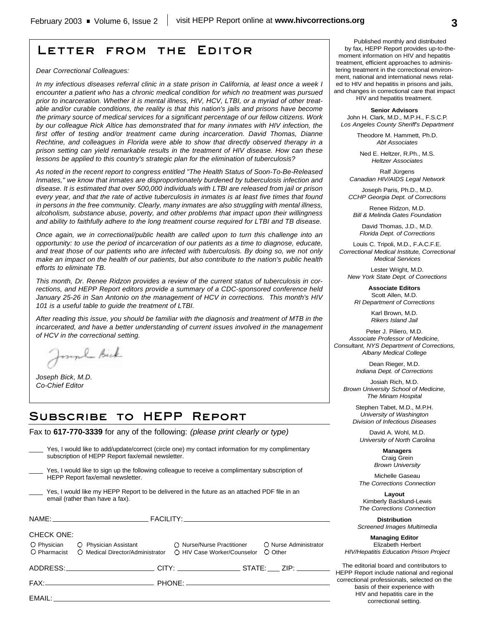## **Letter from the Editor**

*Dear Correctional Colleagues:*

*In my infectious diseases referral clinic in a state prison in California, at least once a week I encounter a patient who has a chronic medical condition for which no treatment was pursued prior to incarceration. Whether it is mental illness, HIV, HCV, LTBI, or a myriad of other treatable and/or curable conditions, the reality is that this nation's jails and prisons have become the primary source of medical services for a significant percentage of our fellow citizens. Work by our colleague Rick Altice has demonstrated that for many inmates with HIV infection, the first offer of testing and/or treatment came during incarceration. David Thomas, Dianne Rechtine, and colleagues in Florida were able to show that directly observed therapy in a prison setting can yield remarkable results in the treatment of HIV disease. How can these lessons be applied to this country's strategic plan for the elimination of tuberculosis?* 

*As noted in the recent report to congress entitled "The Health Status of Soon-To-Be-Released Inmates," we know that inmates are disproportionately burdened by tuberculosis infection and disease. It is estimated that over 500,000 individuals with LTBI are released from jail or prison every year, and that the rate of active tuberculosis in inmates is at least five times that found in persons in the free community. Clearly, many inmates are also struggling with mental illness, alcoholism, substance abuse, poverty, and other problems that impact upon their willingness and ability to faithfully adhere to the long treatment course required for LTBI and TB disease.*

*Once again, we in correctional/public health are called upon to turn this challenge into an opportunity: to use the period of incarceration of our patients as a time to diagnose, educate, and treat those of our patients who are infected with tuberculosis. By doing so, we not only make an impact on the health of our patients, but also contribute to the nation's public health efforts to eliminate TB.*

*This month, Dr. Renee Ridzon provides a review of the current status of tuberculosis in corrections, and HEPP Report editors provide a summary of a CDC-sponsored conference held January 25-26 in San Antonio on the management of HCV in corrections. This month's HIV 101 is a useful table to guide the treatment of LTBI.*

*After reading this issue, you should be familiar with the diagnosis and treatment of MTB in the incarcerated, and have a better understanding of current issues involved in the management of HCV in the correctional setting.*

Joseph Bick

*Joseph Bick, M.D. Co-Chief Editor*

## **Subscribe to HEPP Report**

Fax to **617-770-3339** for any of the following: *(please print clearly or type)*

| Yes, I would like to add/update/correct (circle one) my contact information for my complimentary<br>subscription of HEPP Report fax/email newsletter. |                                                                                                                                                                                                                                |  |                       |  |
|-------------------------------------------------------------------------------------------------------------------------------------------------------|--------------------------------------------------------------------------------------------------------------------------------------------------------------------------------------------------------------------------------|--|-----------------------|--|
|                                                                                                                                                       | Yes, I would like to sign up the following colleague to receive a complimentary subscription of<br>HEPP Report fax/email newsletter.                                                                                           |  |                       |  |
|                                                                                                                                                       | Yes, I would like my HEPP Report to be delivered in the future as an attached PDF file in an<br>email (rather than have a fax).                                                                                                |  |                       |  |
|                                                                                                                                                       |                                                                                                                                                                                                                                |  |                       |  |
| <b>CHECK ONE:</b><br>$\bigcirc$ Pharmacist                                                                                                            | O Physician C Physician Assistant C Nurse/Nurse Practitioner                                                                                                                                                                   |  | O Nurse Administrator |  |
|                                                                                                                                                       | ADDRESS:___________________________CITY: ___________________STATE: ____ ZIP: __________                                                                                                                                        |  |                       |  |
|                                                                                                                                                       |                                                                                                                                                                                                                                |  |                       |  |
|                                                                                                                                                       | EMAIL: EMAIL: A CONTROLLER CONTROLLER CONTROLLER CONTROLLER CONTROLLER CONTROLLER CONTROLLER CONTROLLER CONTROLLER CONTROLLER CONTROLLER CONTROLLER CONTROLLER CONTROLLER CONTROLLER CONTROLLER CONTROLLER CONTROLLER CONTROLL |  |                       |  |

Published monthly and distributed by fax, HEPP Report provides up-to-themoment information on HIV and hepatitis treatment, efficient approaches to administering treatment in the correctional environment, national and international news related to HIV and hepatitis in prisons and jails, and changes in correctional care that impact

HIV and hepatitis treatment.

**Senior Advisors** John H. Clark, M.D., M.P.H., F.S.C.P. *Los Angeles County Sheriff's Department*

> Theodore M. Hammett, Ph.D. *Abt Associates*

Ned E. Heltzer, R.Ph., M.S. *Heltzer Associates*

Ralf Jürgens *Canadian HIV/AIDS Legal Network*

Joseph Paris, Ph.D., M.D. *CCHP Georgia Dept. of Corrections*

Renee Ridzon, M.D. *Bill & Melinda Gates Foundation*

David Thomas, J.D., M.D. *Florida Dept. of Corrections*

Louis C. Tripoli, M.D., F.A.C.F.E. *Correctional Medical Institute, Correctional Medical Services*

Lester Wright, M.D. *New York State Dept. of Corrections*

**Associate Editors** Scott Allen, M.D. *RI Department of Corrections*

> Karl Brown, M.D. *Rikers Island Jail*

Peter J. Piliero, M.D. *Associate Professor of Medicine, Consultant, NYS Department of Corrections, Albany Medical College*

> Dean Rieger, M.D. *Indiana Dept. of Corrections*

Josiah Rich, M.D. *Brown University School of Medicine, The Miriam Hospital*

Stephen Tabet, M.D., M.P.H. *University of Washington Division of Infectious Diseases*

David A. Wohl, M.D. *University of North Carolina*

> **Managers** Craig Grein *Brown University*

Michelle Gaseau *The Corrections Connection*

**Layout** Kimberly Backlund-Lewis *The Corrections Connection*

**Distribution** *Screened Images Multimedia*

**Managing Editor** Elizabeth Herbert *HIV/Hepatitis Education Prison Project*

The editorial board and contributors to HEPP Report include national and regional correctional professionals, selected on the basis of their experience with HIV and hepatitis care in the correctional setting.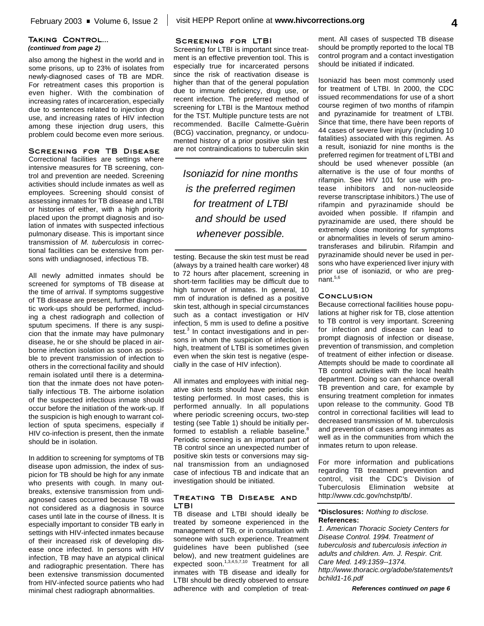#### **Taking Control...** *(continued from page 2)*

also among the highest in the world and in some prisons, up to 23% of isolates from newly-diagnosed cases of TB are MDR. For retreatment cases this proportion is even higher. With the combination of increasing rates of incarceration, especially due to sentences related to injection drug use, and increasing rates of HIV infection among these injection drug users, this problem could become even more serious.

#### **Screening for TB Disease**

Correctional facilities are settings where intensive measures for TB screening, control and prevention are needed. Screening activities should include inmates as well as employees. Screening should consist of assessing inmates for TB disease and LTBI or histories of either, with a high priority placed upon the prompt diagnosis and isolation of inmates with suspected infectious pulmonary disease. This is important since transmission of *M. tuberculosis* in correctional facilities can be extensive from persons with undiagnosed, infectious TB.

All newly admitted inmates should be screened for symptoms of TB disease at the time of arrival. If symptoms suggestive of TB disease are present, further diagnostic work-ups should be performed, including a chest radiograph and collection of sputum specimens. If there is any suspicion that the inmate may have pulmonary disease, he or she should be placed in airborne infection isolation as soon as possible to prevent transmission of infection to others in the correctional facility and should remain isolated until there is a determination that the inmate does not have potentially infectious TB. The airborne isolation of the suspected infectious inmate should occur before the initiation of the work-up. If the suspicion is high enough to warrant collection of sputa specimens, especially if HIV co-infection is present, then the inmate should be in isolation.

In addition to screening for symptoms of TB disease upon admission, the index of suspicion for TB should be high for any inmate who presents with cough. In many outbreaks, extensive transmission from undiagnosed cases occurred because TB was not considered as a diagnosis in source cases until late in the course of illness. It is especially important to consider TB early in settings with HIV-infected inmates because of their increased risk of developing disease once infected. In persons with HIV infection, TB may have an atypical clinical and radiographic presentation. There has been extensive transmission documented from HIV-infected source patients who had minimal chest radiograph abnormalities.

#### **Screening for LTBI**

Screening for LTBI is important since treatment is an effective prevention tool. This is especially true for incarcerated persons since the risk of reactivation disease is higher than that of the general population due to immune deficiency, drug use, or recent infection. The preferred method of screening for LTBI is the Mantoux method for the TST. Multiple puncture tests are not recommended. Bacille Calmette-Guèrin (BCG) vaccination, pregnancy, or undocumented history of a prior positive skin test are not contraindications to tuberculin skin

*Isoniazid for nine months is the preferred regimen for treatment of LTBI and should be used whenever possible.*

testing. Because the skin test must be read (always by a trained health care worker) 48 to 72 hours after placement, screening in short-term facilities may be difficult due to high turnover of inmates. In general, 10 mm of induration is defined as a positive skin test, although in special circumstances such as a contact investigation or HIV infection, 5 mm is used to define a positive test.<sup>3</sup> In contact investigations and in persons in whom the suspicion of infection is high, treatment of LTBI is sometimes given even when the skin test is negative (especially in the case of HIV infection).

All inmates and employees with initial negative skin tests should have periodic skin testing performed. In most cases, this is performed annually. In all populations where periodic screening occurs, two-step testing (see Table 1) should be initially performed to establish a reliable baseline.<sup>8</sup> Periodic screening is an important part of TB control since an unexpected number of positive skin tests or conversions may signal transmission from an undiagnosed case of infectious TB and indicate that an investigation should be initiated.

#### **Treating TB Disease and LTBI**

TB disease and LTBI should ideally be treated by someone experienced in the management of TB, or in consultation with someone with such experience. Treatment guidelines have been published (see below), and new treatment guidelines are expected soon.<sup>1,3,4,5,7,10</sup> Treatment for all inmates with TB disease and ideally for LTBI should be directly observed to ensure adherence with and completion of treatment. All cases of suspected TB disease should be promptly reported to the local TB control program and a contact investigation should be initiated if indicated.

Isoniazid has been most commonly used for treatment of LTBI. In 2000, the CDC issued recommendations for use of a short course regimen of two months of rifampin and pyrazinamide for treatment of LTBI. Since that time, there have been reports of 44 cases of severe liver injury (including 10 fatalities) associated with this regimen. As a result, isoniazid for nine months is the preferred regimen for treatment of LTBI and should be used whenever possible (an alternative is the use of four months of rifampin. See HIV 101 for use with protease inhibitors and non-nucleoside reverse transcriptase inhibitors.) The use of rifampin and pyrazinamide should be avoided when possible. If rifampin and pyrazinamide are used, there should be extremely close monitoring for symptoms or abnormalities in levels of serum aminotransferases and bilirubin. Rifampin and pyrazinamide should never be used in persons who have experienced liver injury with prior use of isoniazid, or who are pregnant. 5,6

#### **Conclusion**

Because correctional facilities house populations at higher risk for TB, close attention to TB control is very important. Screening for infection and disease can lead to prompt diagnosis of infection or disease, prevention of transmission, and completion of treatment of either infection or disease. Attempts should be made to coordinate all TB control activities with the local health department. Doing so can enhance overall TB prevention and care, for example by ensuring treatment completion for inmates upon release to the community. Good TB control in correctional facilities will lead to decreased transmission of M. tuberculosis and prevention of cases among inmates as well as in the communities from which the inmates return to upon release.

For more information and publications regarding TB treatment prevention and control, visit the CDC's Division of Tuberculosis Elimination website at http://www.cdc.gov/nchstp/tb/.

#### **\*Disclosures:** *Nothing to disclose.* **References:**

*1. American Thoracic Society Centers for Disease Control. 1994. Treatment of tuberculosis and tuberculosis infection in adults and children. Am. J. Respir. Crit. Care Med. 149:1359--1374. http://www.thoracic.org/adobe/statements/t bchild1-16.pdf*

*References continued on page 6*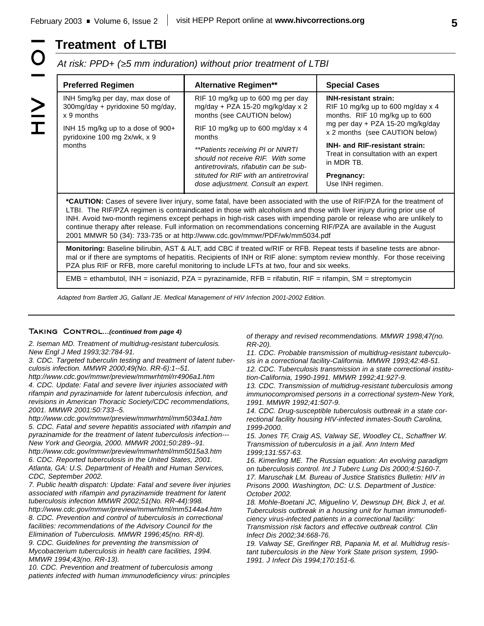# **Treatment of LTBI**

*At risk: PPD+ (>5 mm induration) without prior treatment of LTBI*

| <b>Preferred Regimen</b>                                                                                                                                                                                                                                                                                                                                                                                                                                                                                                                                                   | <b>Alternative Regimen**</b>                                                                                     | <b>Special Cases</b>                                                                                  |  |  |
|----------------------------------------------------------------------------------------------------------------------------------------------------------------------------------------------------------------------------------------------------------------------------------------------------------------------------------------------------------------------------------------------------------------------------------------------------------------------------------------------------------------------------------------------------------------------------|------------------------------------------------------------------------------------------------------------------|-------------------------------------------------------------------------------------------------------|--|--|
| INH 5mg/kg per day, max dose of<br>300mg/day + pyridoxine 50 mg/day,<br>x 9 months                                                                                                                                                                                                                                                                                                                                                                                                                                                                                         | RIF 10 mg/kg up to 600 mg per day<br>mg/day + PZA 15-20 mg/kg/day x 2<br>months (see CAUTION below)              | <b>INH-resistant strain:</b><br>RIF 10 mg/kg up to 600 mg/day $x$ 4<br>months. RIF 10 mg/kg up to 600 |  |  |
| INH 15 mg/kg up to a dose of 900+<br>pyridoxine 100 mg 2x/wk, x 9                                                                                                                                                                                                                                                                                                                                                                                                                                                                                                          | RIF 10 mg/kg up to 600 mg/day $x$ 4<br>months                                                                    | mg per day + PZA 15-20 mg/kg/day<br>x 2 months (see CAUTION below)                                    |  |  |
| months                                                                                                                                                                                                                                                                                                                                                                                                                                                                                                                                                                     | **Patients receiving PI or NNRTI*<br>should not receive RIF. With some<br>antiretrovirals, rifabutin can be sub- | <b>INH- and RIF-resistant strain:</b><br>Treat in consultation with an expert<br>in MDR TB.           |  |  |
|                                                                                                                                                                                                                                                                                                                                                                                                                                                                                                                                                                            | stituted for RIF with an antiretroviral<br>dose adjustment. Consult an expert.                                   | Pregnancy:<br>Use INH regimen.                                                                        |  |  |
| *CAUTION: Cases of severe liver injury, some fatal, have been associated with the use of RIF/PZA for the treatment of<br>LTBI. The RIF/PZA regimen is contraindicated in those with alcoholism and those with liver injury during prior use of<br>INH. Avoid two-month regimens except perhaps in high-risk cases with impending parole or release who are unlikely to<br>continue therapy after release. Full information on recommendations concerning RIF/PZA are available in the August<br>2001 MMWR 50 (34): 733-735 or at http://www.cdc.gov/mmwr/PDF/wk/mm5034.pdf |                                                                                                                  |                                                                                                       |  |  |
| Monitoring: Baseline bilirubin, AST & ALT, add CBC if treated w/RIF or RFB. Repeat tests if baseline tests are abnor-<br>mal or if there are symptoms of hepatitis. Recipients of INH or RIF alone: symptom review monthly. For those receiving<br>PZA plus RIF or RFB, more careful monitoring to include LFTs at two, four and six weeks.                                                                                                                                                                                                                                |                                                                                                                  |                                                                                                       |  |  |

EMB = ethambutol, INH = isoniazid, PZA = pyrazinamide, RFB = rifabutin, RIF = rifampin, SM = streptomycin

*Adapted from Bartlett JG, Gallant JE. Medical Management of HIV Infection 2001-2002 Edition.*

#### **Taking Control...***(continued from page 4)*

*2. Iseman MD. Treatment of multidrug-resistant tuberculosis. New Engl J Med 1993;32:784-91.*

*3. CDC. Targeted tuberculin testing and treatment of latent tuberculosis infection. MMWR 2000;49(No. RR-6):1--51.*

*http://www.cdc.gov/mmwr/preview/mmwrhtml/rr4906a1.htm 4. CDC. Update: Fatal and severe liver injuries associated with rifampin and pyrazinamide for latent tuberculosis infection, and revisions in American Thoracic Society/CDC recommendations, 2001. MMWR 2001:50:733--5.*

*http://www.cdc.gov/mmwr/preview/mmwrhtml/mm5034a1.htm 5. CDC. Fatal and severe hepatitis associated with rifampin and pyrazinamide for the treatment of latent tuberculosis infection--- New York and Georgia, 2000. MMWR 2001;50:289--91. http://www.cdc.gov/mmwr/preview/mmwrhtml/mm5015a3.htm 6. CDC. Reported tuberculosis in the United States, 2001. Atlanta, GA: U.S. Department of Health and Human Services, CDC, September 2002.*

*7. Public health dispatch: Update: Fatal and severe liver injuries associated with rifampin and pyrazinamide treatment for latent tuberculosis infection MMWR 2002;51(No. RR-44):998.*

*http://www.cdc.gov/mmwr/preview/mmwrhtml/mm5144a4.htm 8. CDC. Prevention and control of tuberculosis in correctional facilities: recommendations of the Advisory Council for the Elimination of Tuberculosis. MMWR 1996;45(no. RR-8). 9. CDC. Guidelines for preventing the transmission of Mycobacterium tuberculosis in health care facilities, 1994. MMWR 1994;43(no. RR-13).*

*10. CDC. Prevention and treatment of tuberculosis among patients infected with human immunodeficiency virus: principles* *of therapy and revised recommendations. MMWR 1998;47(no. RR-20).*

*11. CDC. Probable transmission of multidrug-resistant tuberculosis in a correctional facility-California. MMWR 1993;42:48-51. 12. CDC. Tuberculosis transmission in a state correctional institution-California, 1990-1991. MMWR 1992;41:927-9.*

*13. CDC. Transmission of multidrug-resistant tuberculosis among immunocompromised persons in a correctional system-New York, 1991. MMWR 1992;41:507-9.*

*14. CDC. Drug-susceptible tuberculosis outbreak in a state correctional facility housing HIV-infected inmates-South Carolina, 1999-2000.*

*15. Jones TF, Craig AS, Valway SE, Woodley CL, Schaffner W. Transmission of tuberculosis in a jail. Ann Intern Med 1999;131:557-63.*

*16. Kimerling ME. The Russian equation: An evolving paradigm on tuberculosis control. Int J Tuberc Lung Dis 2000;4:S160-7. 17. Maruschak LM. Bureau of Justice Statistics Bulletin: HIV in Prisons 2000. Washington, DC: U.S. Department of Justice: October 2002.*

*18. Mohle-Boetani JC, Miguelino V, Dewsnup DH, Bick J, et al. Tuberculosis outbreak in a housing unit for human immunodeficiency virus-infected patients in a correctional facility: Transmission risk factors and effective outbreak control. Clin Infect Dis 2002;34:668-76.*

*19. Valway SE, Greifinger RB, Papania M, et al. Multidrug resistant tuberculosis in the New York State prison system, 1990- 1991. J Infect Dis 1994;170:151-6.*

 $\geq$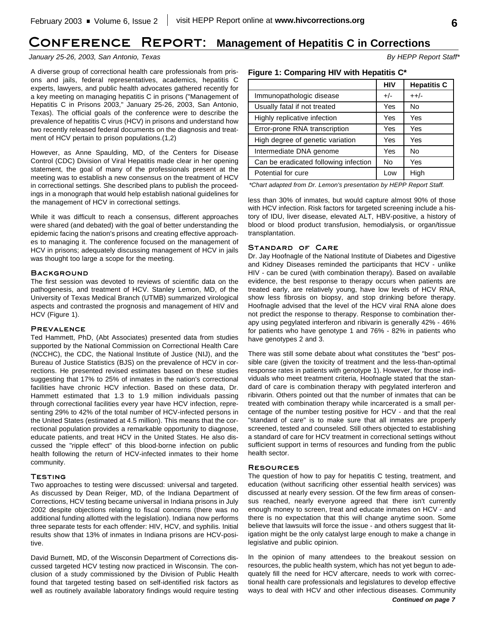## **Conference Report: Management of Hepatitis C in Corrections**

#### *January 25-26, 2003, San Antonio, Texas By HEPP Report Staff\**

A diverse group of correctional health care professionals from prisons and jails, federal representatives, academics, hepatitis C experts, lawyers, and public health advocates gathered recently for a key meeting on managing hepatitis C in prisons ("Management of Hepatitis C in Prisons 2003," January 25-26, 2003, San Antonio, Texas). The official goals of the conference were to describe the prevalence of hepatitis C virus (HCV) in prisons and understand how two recently released federal documents on the diagnosis and treatment of HCV pertain to prison populations.(1,2)

However, as Anne Spaulding, MD, of the Centers for Disease Control (CDC) Division of Viral Hepatitis made clear in her opening statement, the goal of many of the professionals present at the meeting was to establish a new consensus on the treatment of HCV in correctional settings. She described plans to publish the proceedings in a monograph that would help establish national guidelines for the management of HCV in correctional settings.

While it was difficult to reach a consensus, different approaches were shared (and debated) with the goal of better understanding the epidemic facing the nation's prisons and creating effective approaches to managing it. The conference focused on the management of HCV in prisons; adequately discussing management of HCV in jails was thought too large a scope for the meeting.

#### **BACKGROUND**

The first session was devoted to reviews of scientific data on the pathogenesis, and treatment of HCV. Stanley Lemon, MD, of the University of Texas Medical Branch (UTMB) summarized virological aspects and contrasted the prognosis and management of HIV and HCV (Figure 1).

#### **Prevalence**

Ted Hammett, PhD, (Abt Associates) presented data from studies supported by the National Commission on Correctional Health Care (NCCHC), the CDC, the National Institute of Justice (NIJ), and the Bureau of Justice Statistics (BJS) on the prevalence of HCV in corrections. He presented revised estimates based on these studies suggesting that 17% to 25% of inmates in the nation's correctional facilities have chronic HCV infection. Based on these data, Dr. Hammett estimated that 1.3 to 1.9 million individuals passing through correctional facilities every year have HCV infection, representing 29% to 42% of the total number of HCV-infected persons in the United States (estimated at 4.5 million). This means that the correctional population provides a remarkable opportunity to diagnose, educate patients, and treat HCV in the United States. He also discussed the "ripple effect" of this blood-borne infection on public health following the return of HCV-infected inmates to their home community.

#### **Testing**

Two approaches to testing were discussed: universal and targeted. As discussed by Dean Reiger, MD, of the Indiana Department of Corrections, HCV testing became universal in Indiana prisons in July 2002 despite objections relating to fiscal concerns (there was no additional funding allotted with the legislation). Indiana now performs three separate tests for each offender: HIV, HCV, and syphilis. Initial results show that 13% of inmates in Indiana prisons are HCV-positive.

David Burnett, MD, of the Wisconsin Department of Corrections discussed targeted HCV testing now practiced in Wisconsin. The conclusion of a study commissioned by the Division of Public Health found that targeted testing based on self-identified risk factors as well as routinely available laboratory findings would require testing

#### **Figure 1: Comparing HIV with Hepatitis C\***

|                                       | <b>HIV</b> | <b>Hepatitis C</b> |
|---------------------------------------|------------|--------------------|
| Immunopathologic disease              | $+/-$      | $++/-$             |
| Usually fatal if not treated          | Yes        | No                 |
| Highly replicative infection          | Yes        | Yes                |
| Error-prone RNA transcription         | Yes        | Yes                |
| High degree of genetic variation      | Yes        | Yes                |
| Intermediate DNA genome               | Yes        | No                 |
| Can be eradicated following infection | No.        | Yes                |
| Potential for cure                    | Low        | High               |

*\*Chart adapted from Dr. Lemon's presentation by HEPP Report Staff.*

less than 30% of inmates, but would capture almost 90% of those with HCV infection. Risk factors for targeted screening include a history of IDU, liver disease, elevated ALT, HBV-positive, a history of blood or blood product transfusion, hemodialysis, or organ/tissue transplantation.

#### **Standard of Care**

Dr. Jay Hoofnagle of the National Institute of Diabetes and Digestive and Kidney Diseases reminded the participants that HCV - unlike HIV - can be cured (with combination therapy). Based on available evidence, the best response to therapy occurs when patients are treated early, are relatively young, have low levels of HCV RNA, show less fibrosis on biopsy, and stop drinking before therapy. Hoofnagle advised that the level of the HCV viral RNA alone does not predict the response to therapy. Response to combination therapy using pegylated interferon and ribivarin is generally 42% - 46% for patients who have genotype 1 and 76% - 82% in patients who have genotypes 2 and 3.

There was still some debate about what constitutes the "best" possible care (given the toxicity of treatment and the less-than-optimal response rates in patients with genotype 1). However, for those individuals who meet treatment criteria, Hoofnagle stated that the standard of care is combination therapy with pegylated interferon and ribivarin. Others pointed out that the number of inmates that can be treated with combination therapy while incarcerated is a small percentage of the number testing positive for HCV - and that the real "standard of care" is to make sure that all inmates are properly screened, tested and counseled. Still others objected to establishing a standard of care for HCV treatment in correctional settings without sufficient support in terms of resources and funding from the public health sector.

#### **Resources**

The question of how to pay for hepatitis C testing, treatment, and education (without sacrificing other essential health services) was discussed at nearly every session. Of the few firm areas of consensus reached, nearly everyone agreed that there isn't currently enough money to screen, treat and educate inmates on HCV - and there is no expectation that this will change anytime soon. Some believe that lawsuits will force the issue - and others suggest that litigation might be the only catalyst large enough to make a change in legislative and public opinion.

In the opinion of many attendees to the breakout session on resources, the public health system, which has not yet begun to adequately fill the need for HCV aftercare, needs to work with correctional health care professionals and legislatures to develop effective ways to deal with HCV and other infectious diseases. Community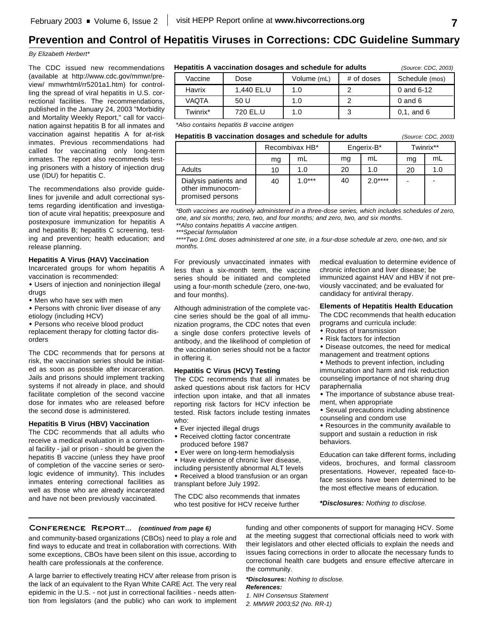# **Prevention and Control of Hepatitis Viruses in Corrections: CDC Guideline Summary**

#### *By Elizabeth Herbert\**

The CDC issued new recommendations (available at http://www.cdc.gov/mmwr/preview/ mmwrhtml/rr5201a1.htm) for controlling the spread of viral hepatitis in U.S. correctional facilities. The recommendations, published in the January 24, 2003 "Morbidity and Mortality Weekly Report," call for vaccination against hepatitis B for all inmates and vaccination against hepatitis A for at-risk inmates. Previous recommendations had called for vaccinating only long-term inmates. The report also recommends testing prisoners with a history of injection drug use (IDU) for hepatitis C.

The recommendations also provide guidelines for juvenile and adult correctional systems regarding identification and investigation of acute viral hepatitis; preexposure and postexposure immunization for hepatitis A and hepatitis B; hepatitis C screening, testing and prevention; health education; and release planning.

#### **Hepatitis A Virus (HAV) Vaccination**

Incarcerated groups for whom hepatitis A vaccination is recommended:

• Users of injection and noninjection illegal drugs

• Men who have sex with men

- Persons with chronic liver disease of any etiology (including HCV)
- Persons who receive blood product

replacement therapy for clotting factor disorders

The CDC recommends that for persons at risk, the vaccination series should be initiated as soon as possible after incarceration. Jails and prisons should implement tracking systems if not already in place, and should facilitate completion of the second vaccine dose for inmates who are released before the second dose is administered.

#### **Hepatitis B Virus (HBV) Vaccination**

The CDC recommends that all adults who receive a medical evaluation in a correctional facility - jail or prison - should be given the hepatitis B vaccine (unless they have proof of completion of the vaccine series or serologic evidence of immunity). This includes inmates entering correctional facilities as well as those who are already incarcerated and have not been previously vaccinated.

**Hepatitis A vaccination dosages and schedule for adults** *(Source: CDC, 2003)*

| Vaccine  | Dose       | Volume (mL) | # of doses | Schedule (mos) |
|----------|------------|-------------|------------|----------------|
| Havrix   | 1.440 EL.U | 1.0         |            | 0 and 6-12     |
| VAQTA    | 50 U       | 1.0         |            | $0$ and $6$    |
| Twinrix* | 720 EL.U   | 1.0         | J          | $0.1$ , and 6  |

*\*Also contains hepatitis B vaccine antigen*

#### **Hepatitis B vaccination dosages and schedule for adults** *(Source: CDC, 2003)*

|                                                               | Recombivax HB* |          | Engerix-B* |          | Twinrix** |     |
|---------------------------------------------------------------|----------------|----------|------------|----------|-----------|-----|
|                                                               | mg             | mL       | ma         | mL       | ma        | mL  |
| <b>Adults</b>                                                 | 10             | 1.0      | 20         | 1.0      | 20        | 1.0 |
| Dialysis patients and<br>other immunocom-<br>promised persons | 40             | $1.0***$ | 40         | $2.0***$ |           |     |

*\*Both vaccines are routinely administered in a three-dose series, which includes schedules of zero, one, and six months; zero, two, and four months; and zero, two, and six months.*

*\*\*Also contains hepatitis A vaccine antigen.*

*\*\*\*Special formulation*

*\*\*\*\*Two 1.0mL doses administered at one site, in a four-dose schedule at zero, one-two, and six months.*

For previously unvaccinated inmates with less than a six-month term, the vaccine series should be initiated and completed using a four-month schedule (zero, one-two, and four months).

Although administration of the complete vaccine series should be the goal of all immunization programs, the CDC notes that even a single dose confers protective levels of antibody, and the likelihood of completion of the vaccination series should not be a factor in offering it.

#### **Hepatitis C Virus (HCV) Testing**

The CDC recommends that all inmates be asked questions about risk factors for HCV infection upon intake, and that all inmates reporting risk factors for HCV infection be tested. Risk factors include testing inmates who:

- Ever injected illegal drugs
- Received clotting factor concentrate produced before 1987
- Ever were on long-term hemodialysis
- Have evidence of chronic liver disease,

including persistently abnormal ALT levels • Received a blood transfusion or an organ transplant before July 1992.

The CDC also recommends that inmates who test positive for HCV receive further

medical evaluation to determine evidence of chronic infection and liver disease; be immunized against HAV and HBV if not previously vaccinated; and be evaluated for candidacy for antiviral therapy.

#### **Elements of Hepatitis Health Education**

The CDC recommends that health education programs and curricula include:

- $\bullet$  Routes of transmission
- $\bullet$  Risk factors for infection
- Disease outcomes, the need for medical management and treatment options

 $\bullet$  Methods to prevent infection, including immunization and harm and risk reduction counseling importance of not sharing drug paraphernalia

• The importance of substance abuse treatment, when appropriate

• Sexual precautions including abstinence counseling and condom use

• Resources in the community available to support and sustain a reduction in risk behaviors.

Education can take different forms, including videos, brochures, and formal classroom presentations. However, repeated face-toface sessions have been determined to be the most effective means of education.

*\*Disclosures: Nothing to disclose.*

#### **Conference Report...** *(continued from page 6)*

and community-based organizations (CBOs) need to play a role and find ways to educate and treat in collaboration with corrections. With some exceptions, CBOs have been silent on this issue, according to health care professionals at the conference.

A large barrier to effectively treating HCV after release from prison is the lack of an equivalent to the Ryan White CARE Act. The very real epidemic in the U.S. - not just in correctional facilities - needs attention from legislators (and the public) who can work to implement funding and other components of support for managing HCV. Some at the meeting suggest that correctional officials need to work with their legislators and other elected officials to explain the needs and issues facing corrections in order to allocate the necessary funds to correctional health care budgets and ensure effective aftercare in the community.

*\*Disclosures: Nothing to disclose. References:*

*1. NIH Consensus Statement*

*2. MMWR 2003;52 (No. RR-1)*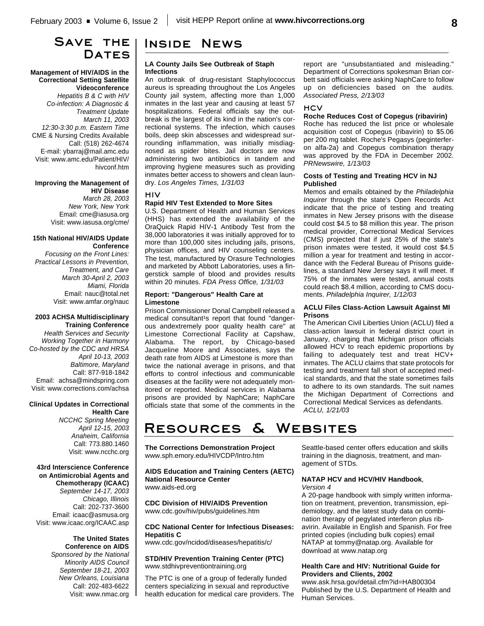## **Save the Dates**

#### **Management of HIV/AIDS in the Correctional Setting Satellite Videoconference**

*Hepatitis B & C with HIV Co-infection: A Diagnostic & Treatment Update March 11, 2003 12:30-3:30 p.m. Eastern Time* CME & Nursing Credits Available Call: (518) 262-4674 E-mail: ybarraj@mail.amc.edu Visit: www.amc.edu/Patient/HIV/ hivconf.htm

### **Improving the Management of HIV Disease**

*March 28, 2003 New York, New York* Email: cme@iasusa.org Visit: www.iasusa.org/cme/

#### **15th National HIV/AIDS Update Conference**

*Focusing on the Front Lines: Practical Lessons in Prevention, Treatment, and Care March 30-April 2, 2003 Miami, Florida* Email: nauc@total.net Visit: www.amfar.org/nauc

#### **2003 ACHSA Multidisciplinary Training Conference**

*Health Services and Security Working Together in Harmony Co-hosted by the CDC and HRSA April 10-13, 2003 Baltimore, Maryland* Call: 877-918-1842 Email: achsa@mindspring.com Visit: www.corrections.com/achsa

#### **Clinical Updates in Correctional Health Care**

*NCCHC Spring Meeting April 12-15, 2003 Anaheim, California* Call: 773.880.1460 Visit: www.ncchc.org

#### **43rd Interscience Conference on Antimicrobial Agents and Chemotherapy (ICAAC)** *September 14-17, 2003 Chicago, Illinois* Call: 202-737-3600 Email: icaac@asmusa.org Visit: www.icaac.org/ICAAC.asp

**The United States Conference on AIDS** *Sponsored by the National Minority AIDS Council September 18-21, 2003 New Orleans, Louisiana* Call: 202-483-6622 Visit: www.nmac.org

## **Inside News**

#### **LA County Jails See Outbreak of Staph Infections**

An outbreak of drug-resistant Staphylococcus aureus is spreading throughout the Los Angeles County jail system, affecting more than 1,000 inmates in the last year and causing at least 57 hospitalizations. Federal officials say the outbreak is the largest of its kind in the nation's correctional systems. The infection, which causes boils, deep skin abscesses and widespread surrounding inflammation, was initially misdiagnosed as spider bites. Jail doctors are now administering two antibiotics in tandem and improving hygiene measures such as providing inmates better access to showers and clean laundry. *Los Angeles Times, 1/31/03*

#### **HIV**

#### **Rapid HIV Test Extended to More Sites**

U.S. Department of Health and Human Services (HHS) has extended the availability of the OraQuick Rapid HIV-1 Antibody Test from the 38,000 laboratories it was initially approved for to more than 100,000 sites including jails, prisons, physician offices, and HIV counseling centers. The test, manufactured by Orasure Technologies and marketed by Abbott Laboratories, uses a fingerstick sample of blood and provides results within 20 minutes. *FDA Press Office, 1/31/03*

#### **Report: "Dangerous" Health Care at Limestone**

Prison Commissioner Donal Campbell released a medical consultant<sup>1</sup>s report that found "dangerous andextremely poor quality health care" at Limestone Correctional Facility at Capshaw, Alabama. The report, by Chicago-based Jacqueline Moore and Associates, says the death rate from AIDS at Limestone is more than twice the national average in prisons, and that efforts to control infectious and communicable diseases at the facility were not adequately monitored or reported. Medical services in Alabama prisons are provided by NaphCare; NaphCare officials state that some of the comments in the report are "unsubstantiated and misleading." Department of Corrections spokesman Brian corbett said officials were asking NaphCare to follow up on deficiencies based on the audits. *Associated Press, 2/13/03*

#### **HCV**

#### **Roche Reduces Cost of Copegus (ribavirin)**

Roche has reduced the list price or wholesale acquisition cost of Copegus (ribavirin) to \$5.06 per 200 mg tablet. Roche's Pegasys (peginterferon alfa-2a) and Copegus combination therapy was approved by the FDA in December 2002. *PRNewswire, 1/13/03*

#### **Costs of Testing and Treating HCV in NJ Published**

Memos and emails obtained by the *Philadelphia Inquirer* through the state's Open Records Act indicate that the price of testing and treating inmates in New Jersey prisons with the disease could cost \$4.5 to \$8 million this year. The prison medical provider, Correctional Medical Services (CMS) projected that if just 25% of the state's prison inmates were tested, it would cost \$4.5 million a year for treatment and testing in accordance with the Federal Bureau of Prisons guidelines, a standard New Jersey says it will meet. If 75% of the inmates were tested, annual costs could reach \$8.4 million, according to CMS documents. *Philadelphia Inquirer, 1/12/03*

#### **ACLU Files Class-Action Lawsuit Against MI Prisons**

The American Civil Liberties Union (ACLU) filed a class-action lawsuit in federal district court in January, charging that Michigan prison officials allowed HCV to reach epidemic proportions by failing to adequately test and treat HCV+ inmates. The ACLU claims that state protocols for testing and treatment fall short of accepted medical standards, and that the state sometimes fails to adhere to its own standards. The suit names the Michigan Department of Corrections and Correctional Medical Services as defendants. *ACLU, 1/21/03*

# **Resources & Websites**

**The Corrections Demonstration Project** www.sph.emory.edu/HIVCDP/Intro.htm

**AIDS Education and Training Centers (AETC) National Resource Center** www.aids-ed.org

**CDC Division of HIV/AIDS Prevention** www.cdc.gov/hiv/pubs/guidelines.htm

#### **CDC National Center for Infectious Diseases: Hepatitis C**

www.cdc.gov/ncidod/diseases/hepatitis/c/

#### **STD/HIV Prevention Training Center (PTC)** www.stdhivpreventiontraining.org

The PTC is one of a group of federally funded centers specializing in sexual and reproductive health education for medical care providers. The Seattle-based center offers education and skills training in the diagnosis, treatment, and management of STDs.

#### **NATAP HCV and HCV/HIV Handbook**, *Version 4*

A 20-page handbook with simply written information on treatment, prevention, transmission, epidemiology, and the latest study data on combination therapy of pegylated interferon plus ribavirin. Available in English and Spanish. For free printed copies (including bulk copies) email NATAP at tommy@natap.org. Available for download at www.natap.org

#### **Health Care and HIV: Nutritional Guide for Providers and Clients, 2002**

www.ask.hrsa.gov/detail.cfm?id=HAB00304 Published by the U.S. Department of Health and Human Services.